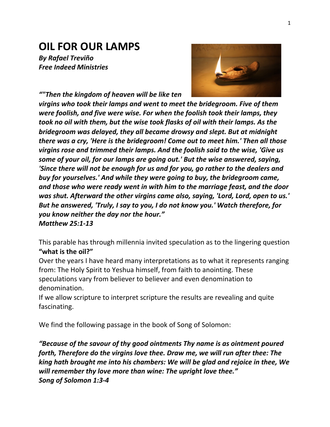# **OIL FOR OUR LAMPS**

*By Rafael Treviño Free Indeed Ministries*



*""Then the kingdom of heaven will be like ten* 

*virgins* who took their lamps and went to meet the bridegroom. Five of them *were foolish, and five were wise. For when the foolish took their lamps, they took no oil with them, but the wise took flasks of oil with their lamps. As the bridegroom* was delayed, they all became drowsy and slept. But at midnight *there* was a cry, 'Here is the bridegroom! Come out to meet him.' Then all those *virgins rose and trimmed their lamps. And the foolish said to the wise, 'Give us some of your oil, for our lamps are going out.' But the wise answered, saying,* 'Since there will not be enough for us and for you, go rather to the dealers and *buy* for yourselves.' And while they were going to buy, the bridegroom came, and those who were ready went in with him to the marriage feast, and the door was shut. Afterward the other virgins came also, saying, 'Lord, Lord, open to us.' *But he answered, 'Truly, I say to you, I do not know you.' Watch therefore, for you know neither the day nor the hour." Matthew 25:1-13*

This parable has through millennia invited speculation as to the lingering question "what is the oil?"

Over the years I have heard many interpretations as to what it represents ranging from: The Holy Spirit to Yeshua himself, from faith to anointing. These speculations vary from believer to believer and even denomination to denomination. 

If we allow scripture to interpret scripture the results are revealing and quite fascinating. 

We find the following passage in the book of Song of Solomon:

*"Because of the savour of thy good ointments Thy name is as ointment poured* forth, Therefore do the virgins love thee. Draw me, we will run after thee: The *king hath brought me into his chambers: We will be glad and rejoice in thee, We* will remember thy love more than wine: The upright love thee." *Song of Solomon 1:3-4*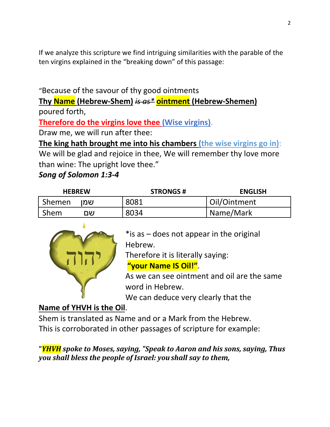If we analyze this scripture we find intriguing similarities with the parable of the ten virgins explained in the "breaking down" of this passage:

## "Because of the savour of thy good ointments

**Thy Name (Hebrew-Shem)** *is as\** **ointment (Hebrew-Shemen)** poured forth, 

**Therefore do the virgins love thee (Wise virgins).** 

Draw me, we will run after thee:

**The king hath brought me into his chambers (the wise virgins go in):** 

We will be glad and rejoice in thee, We will remember thy love more than wine: The upright love thee."

#### *Song of Solomon 1:3-4*

| <b>HEBREW</b> | <b>STRONGS#</b> | <b>ENGLISH</b> |
|---------------|-----------------|----------------|
| Shemen<br>שמו | 8081            | Oil/Ointment   |
| Shem<br>שם    | 8034            | Name/Mark      |



\* is as  $-$  does not appear in the original Hebrew.

Therefore it is literally saying:

**"your Name IS Oil!"**.

As we can see ointment and oil are the same word in Hebrew.

We can deduce very clearly that the

## **Name of YHVH** is the Oil.

Shem is translated as Name and or a Mark from the Hebrew. This is corroborated in other passages of scripture for example:

**"***YHVH spoke to Moses, saying, "Speak to Aaron and his sons, saying, Thus you shall bless the people of Israel: you shall say to them,*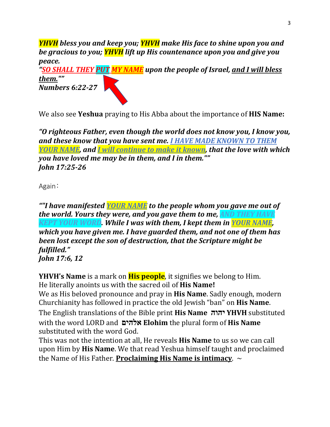*YHVH* bless you and keep you; **YHVH** make His face to shine upon you and *be gracious to you;* **YHVH** lift up His countenance upon you and give you *peace.*

*"SO SHALL THEY PUT MY NAME upon the people of Israel, and I will bless them.""*

*Numbers 6:22-27*

We also see **Yeshua** praying to His Abba about the importance of **HIS Name:**

*"O* righteous Father, even though the world does not know you, I know you, and these know that you have sent me. I HAVE MADE KNOWN TO THEM *YOUR NAME, and I will continue to make it known, that the love with which you have loved me may be in them, and I in them."" John 17:25-26*

Again:

**""I have manifested YOUR NAME** to the people whom you gave me out of *the world. Yours they were, and you gave them to me, AND THEY HAVE KEPT YOUR WORD. While I was with them, I kept them in YOUR NAME. which you have given me. I have guarded them, and not one of them has been lost except the son of destruction, that the Scripture might be fulfilled." John* 17:6, 12

**YHVH's Name** is a mark on **His people**, it signifies we belong to Him. He literally anoints us with the sacred oil of **His Name!** We as His beloved pronounce and pray in **His Name**. Sadly enough, modern Churchianity has followed in practice the old Jewish "ban" on **His Name**. The English translations of the Bible print **His Name הוהי YHVH** substituted with the word LORD and **םיהלא Elohim** the plural form of **His Name** substituted with the word God.

This was not the intention at all, He reveals **His Name** to us so we can call upon Him by **His Name**. We that read Yeshua himself taught and proclaimed the Name of His Father. **Proclaiming His Name is intimacy.**  $\sim$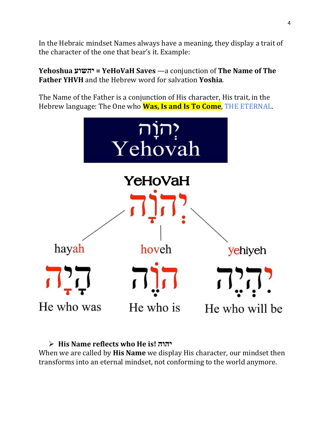In the Hebraic mindset Names always have a meaning, they display a trait of the character of the one that bear's it. Example:

**Yehoshua עושהי = YeHoVaH Saves** —a conjunction of **The Name of The Father YHVH** and the Hebrew word for salvation **Yoshia**.

The Name of the Father is a conjunction of His character, His trait, in the Hebrew language: The One who **Was, Is and Is To Come**, THE ETERNAL.



#### Ø **His Name reflects who He is! הוהי**

When we are called by **His Name** we display His character, our mindset then transforms into an eternal mindset, not conforming to the world anymore.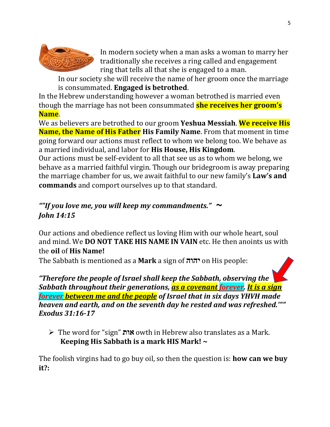

In modern society when a man asks a woman to marry her traditionally she receives a ring called and engagement ring that tells all that she is engaged to a man.

In our society she will receive the name of her groom once the marriage **is consummated. Engaged is betrothed.** 

In the Hebrew understanding however a woman betrothed is married even though the marriage has not been consummated **she receives her groom's Name**.

We as believers are betrothed to our groom **Yeshua Messiah.** We receive His **Name, the Name of His Father** His Family Name. From that moment in time going forward our actions must reflect to whom we belong too. We behave as a married individual, and labor for **His House, His Kingdom**.

Our actions must be self-evident to all that see us as to whom we belong, we behave as a married faithful virgin. Though our bridegroom is away preparing the marriage chamber for us, we await faithful to our new family's **Law's and commands** and comport ourselves up to that standard.

## **"If** you love me, you will keep my commandments."  $\sim$ *John 14:15*

Our actions and obedience reflect us loving Him with our whole heart, soul and mind. We **DO NOT TAKE HIS NAME IN VAIN** etc. He then anoints us with the **oil** of **His Name!**

The Sabbath is mentioned as a **Mark** a sign of **הוה י** on His people:

"Therefore the people of Israel shall keep the Sabbath, observing the *Sabbath throughout their generations, as a covenant forever. It is a sign forever between me and the people* of Israel that in six days YHVH made *heaven and earth, and on the seventh day he rested and was refreshed."" Exodus 31:16-17*

Ø The word for "sign" **תוא** owth in Hebrew also translates as a Mark. **Keeping His Sabbath is a mark HIS Mark!** ~

The foolish virgins had to go buy oil, so then the question is: **how can we buy it?:**